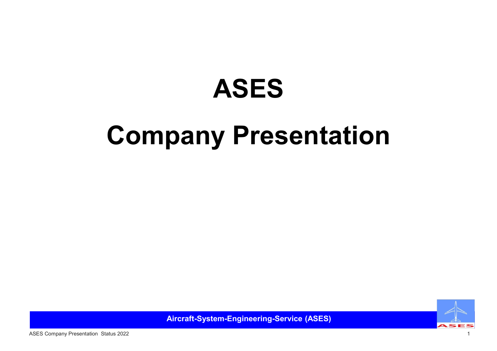# ASES

# Company Presentation



Aircraft-System-Engineering-Service (ASES)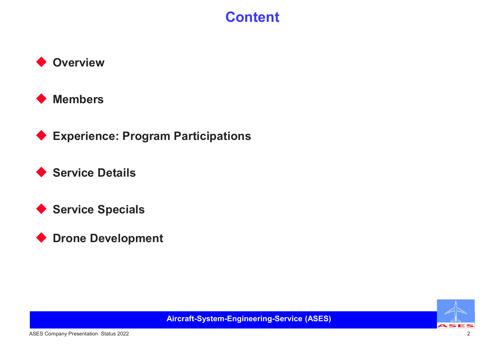### **Content**





◆ Experience: Program Participations

◆ Service Details

◆ Service Specials

◆ Drone Development



Aircraft-System-Engineering-Service (ASES)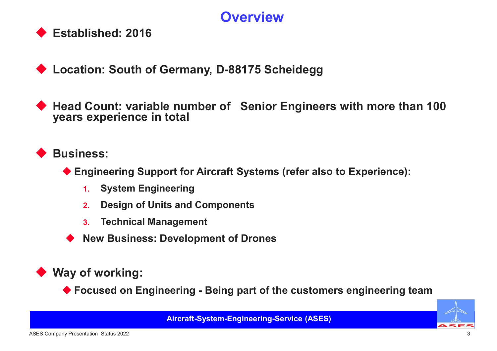### **Overview**



◆ Location: South of Germany, D-88175 Scheidegg

Articulary Counter<br>
→ Established: 2016<br>
→ Location: South of Germany, D-88175 Scheidegg<br>
→ Head Count: variable number of Senior Engineers with more than 100<br>
years experience in total<br>
→ Counter of Senior Engineers with Head Count: variable number of Senior Engineers with more than 100 years experience in total Extra Support of Germany, D-88175 Scheidegg<br>
Engineering Support for Aircraft Systems (refer also to Experience):<br>
The Engineering Support for Aircraft Systems (refer also to Experience):<br>
1. System Engineering<br>
2. Design 1. South of Germany, D-88175 Scheidegg<br>
1. South of Germany, D-88175 Scheidegg<br>
1. System Engineering<br>
1. System Engineering<br>
2. Design of Units and Components<br>
1. Technical Management ion: South of Germany, D-88175 Scheidegg<br>
Count: variable number of Senior Engineers with mor<br>
experience in total<br>
ress:<br>
ingineering Support for Aircraft Systems (refer also to Experient<br>
1. System Engineering<br>
2. Design 3. Technical Management<br>2. Technical Management of Senior Engineers<br>3. Tepsence in total<br>3. Technical Management<br>3. Technical Management<br>3. Technical Management<br>3. Technical Management<br>3. Technical Management<br>7. New Busine Account: variable number of Senior Engineers with more than 1<br>
In ars experience in total<br>
siness:<br>
♦ Engineering Support for Aircraft Systems (refer also to Experience):<br>
1. System Engineering<br>
2. Design of Units and Com

### Business:

- 
- 
- 
- 

### Way of working:

**Community Control Control Control Control Control Control Control Control Control Control Control Control Control Control Control Control Control Control Control Control Control Control Control Control Control Control Co**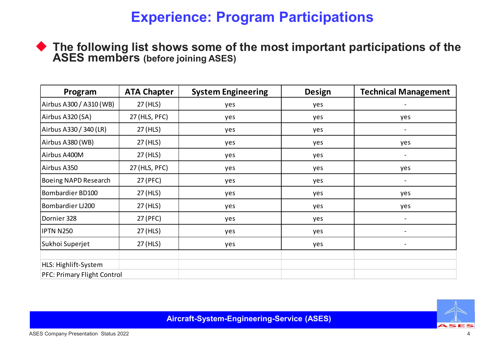### Experience: Program Participations

| Program                 | <b>ATA Chapter</b> | <b>System Engineering</b> | <b>Design</b> | <b>Technical Management</b> |
|-------------------------|--------------------|---------------------------|---------------|-----------------------------|
| Airbus A300 / A310 (WB) | 27 (HLS)           | yes                       | yes           |                             |
| Airbus A320 (SA)        | 27 (HLS, PFC)      | yes                       | yes           | yes                         |
| Airbus A330 / 340 (LR)  | 27 (HLS)           | yes                       | yes           | $\overline{\phantom{a}}$    |
| Airbus A380 (WB)        | 27 (HLS)           | yes                       | yes           | yes                         |
| Airbus A400M            | 27 (HLS)           | yes                       | yes           |                             |
| Airbus A350             | 27 (HLS, PFC)      | yes                       | yes           | yes                         |
| Boeing NAPD Research    | 27 (PFC)           | yes                       | yes           | $\overline{\phantom{a}}$    |
| Bombardier BD100        | 27 (HLS)           | yes                       | yes           | yes                         |
| Bombardier LJ200        | 27 (HLS)           | yes                       | yes           | yes                         |
| Dornier 328             | 27 (PFC)           | yes                       | yes           | $\overline{\phantom{a}}$    |
| <b>IPTN N250</b>        | 27 (HLS)           | yes                       | yes           |                             |
|                         |                    |                           |               |                             |

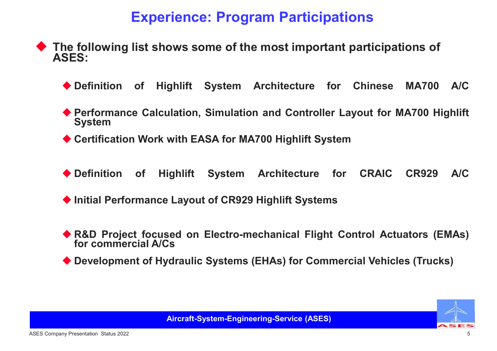### Experience: Program Participations

- The following list shows some of the most important participations of ASES: Experience: Program Participations<br>
the following list shows some of the most important participations of<br>
SES:<br>
◆ Definition of Highlift System Architecture for Chinese MA700 A/C<br>
◆ Performance Calculation, Simulation an **Experience: Program Participations**<br>
Action of Highlift System Architecture for Chinese MA700 A/C<br>
◆ Definition of Highlift System Architecture for Chinese MA700 A/C<br>
◆ Performance Calculation, Simulation and Controller Experience: Program Participations<br>
SES:<br>
◆ Definition of Highlift System Architecture for Chinese MA700 A/C<br>
◆ Performance Calculation, Simulation and Controller Layout for MA700 Highlift<br>
◆ Certification Work with EASA <u>Definition</u> ist shows some of the most important participations of<br>
SES:<br>
◆ Definition of Highlift System Architecture for Chinese MA700 A/C<br>
◆ Performance Calculation, Simulation and Controller Layout for MA700 Highlift
	-
	- ISES:<br>
	SES:<br>
	◆ Definition of Highlift System Architecture for Chinese MA700 A/C<br>
	◆ Performance Calculation, Simulation and Controller Layout for MA700 Highlift<br>
	◆ Certification Work with EASA for MA700 Highlift System<br>
	◆ <ul>\n<li>Definition of Highlift System Architecture for Chinese MA700 A/C</li>\n<li>Performance Calculation, Simulation and Controler Layout for MA700 Highlift System</li>\n<li>Certain Work with EASA for MA700 Highlift System</li>\n<li>Definition of Highlift System Architecture for CRAIC CR929 A/C</li>\n<li>Initial Performance Layout of CR929 Highlift Systems</li>\n<li>R&amp;D Project focused on Electro-mechanical Flight Control Actuators (EMAs) for commercial A/Cs</li>\n<li>Development of Hydrol and the DPSI (HAS) for Commercial V\'enicles (Trucks)</li>\n</ul> Performance Calculation, Simulation and Controller L<br>System<br>Certification Work with EASA for MA700 Highlift System<br>Definition of Highlift System Architecture for<br>Initial Performance Layout of CR929 Highlift Systems<br>R&D Pro
	-
	-
	-
	- <p>▶ Performance Calculation, Simulation and Controller Layout for MA700 High lift System</p>\n<p>▶ Derification Work with EASA for MA700 High lift System</p>\n<p>▶ Definition of High lift System Architecture for CRAIC CR929 AC</p>\n<p>▶ Initial Performance Layout of CR929 High lift Systems</p>\n<p>▶ R&amp;D Project focused on Electro-mechanical Flight Control Actuators (EMAs) for commercial A/Cs</p>\n<p>▶ Development of Hydraulic Systems (EHAs) for Commercial Vehicles (Truchs)</p>
	-

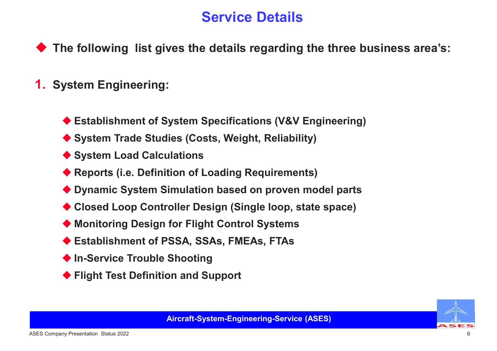## Service Details

 $\blacktriangleright$  The following list gives the details regarding the three business area's: Service Details<br>
Ne following list gives the details regarding the three business area's:<br>
ystem Engineering:<br>
◆ Establishment of System Specifications (V&V Engineering)<br>◆ System Trade Studies (Costs, Weight, Reliability) Service Details<br>
Ne following list gives the details regarding the three business area's:<br>
System Engineering:<br>
♦ Establishment of System Specifications (V&V Engineering)<br>
♦ System Trade Studies (Costs, Weight, Reliabilit Service Details<br>
he following list gives the details regarding the the<br>
ystem Engineering:<br>
◆ Establishment of System Specifications (V&V Engine<br>
◆ System Trade Studies (Costs, Weight, Reliability)<br>
◆ System Load Calculat Reports Islamical Control Details<br>
Stem Engineering:<br>
<br>
★ Establishment of System Specifications (V&V Engineering)<br>
★ System Trade Studies (Costs, Weight, Reliability)<br>
★ System Load Calculations<br>
★ Reports (i.e. Definiti Ne following list gives the details regarding the three business area's:<br>
Nextem Engineering:<br>
Nextem Trade Studies (Costs, Weight, Reliability)<br>
Nextem Load Calculations<br>
Nextem Load Calculations<br>
Nextem Load Calculation

### 1. System Engineering:

- Statem Engineering:<br>
Statement of System Specifications (V&V Engineering)<br>
System Trade Studies (Costs, Weight, Reliability)<br>
System Load Calculations<br>
Statements (i.e. Definition of Loading Requirements)<br>
Suppose System Stablishment of System Specifications (V&V Engineering)<br>
System Trade Studies (Costs, Weight, Reliability)<br>
No System Load Calculations<br>
Neports (i.e. Definition of Loading Requirements)<br>
No Dynamic System Simulation base ◆ Establishment of System Specifications (V&V Engineering)<br>◆ System Trade Studies (Costs, Weight, Reliability)<br>◆ System Load Calculations<br>◆ Reports (i.e. Definition of Loading Requirements)<br>◆ Dynamic System Simulation bas <ul>\n<li> <b>Estabilishment of System Specifications (V&amp;V Engineering)</b></li>\n<li> System Trade Studies (Costs, Weight, Reliability)</li>\n<li> System Load Calculations</li>\n<li> <b>Repository (i.e. Definition of Loading Requirements)</b></li>\n<li> Dynamic System Simulation based on proven model parts</li>\n<li> Closed Loop Controller Design (Single loop, state space)</li>\n<li> Monitoring Design for Flight Control Systems</li>\n<li> <b>Estabilishment of PSSA, SSAs, FMEAs, FTAs</b></li>\n<li> In-Service Trouble Shooting</li>\n<li> Flight Test Definition and Support</li>\n</ul>
- 
- 
- 
- 
- ◆ System Trade Studies (Costs, Weight, Reliability)<br>◆ System Trade Studies (Costs, Weight, Reliability)<br>◆ Reports (i.e. Definition of Loading Requirements)<br>◆ Dynamic System Simulation based on proven model parts<br>◆ Closed
- 
- 
- 
- 

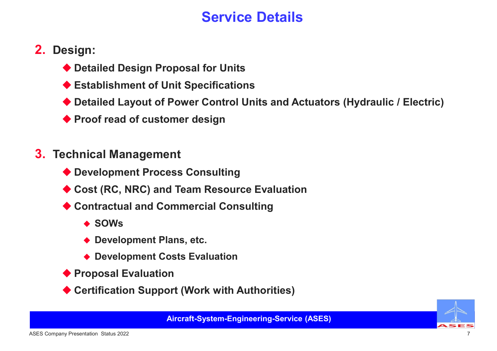# Service Details

- 2. Design:
	-
	-
- Service Details<br>
esign:<br>♦ Detailed Design Proposal for Units<br>♦ Establishment of Unit Specifications<br>♦ Detailed Layout of Power Control Units and Actuators (Hydraulic / El Service Details<br>
esign:<br>
◆ Detailed Design Proposal for Units<br>
◆ Establishment of Unit Specifications<br>◆ Detailed Layout of Power Control Units and Actuators (Hydrai<br>◆ Proof read of customer design Service Details<br>
→ Detailed Design Proposal for Units<br>
→ Establishment of Unit Specifications<br>
→ Detailed Layout of Power Control Units and Actuators (Hydraulic / Electric)<br>← Proof read of customer design Service Details<br>
esign:<br>
◆ Detailed Design Proposal for Units<br>
◆ Establishment of Unit Specifications<br>◆ Detailed Layout of Power Control Units and Actuators (Hydraul<br>◆ Proof read of customer design<br>echnical Management Corvice Betallies<br>
→ Detailed Design Proposal for Units<br>
→ Establishment of Unit Specifications<br>
→ Detailed Layout of Power Control Units and Actuators (Hydrau<br>
→ Proof read of customer design<br>
echnical Management<br>
→ Deve <br>
• Detailed Design Proposal for Units<br>
• Establishment of Unit Specifications<br>
• Detailed Layout of Power Control Units and Actuators (Hydraulic / Electric)<br>
• Proof read of customer design<br>
• Cost (RC, NRC) and Team Re ◆ Detailed Design Proposal for Units<br>◆ Establishment of Unit Specifications<br>◆ Detailed Layout of Power Control Units and Actuators (Hydraulic / El<br>◆ Proof read of customer design<br>echnical Management<br>◆ Development Process Mashelment of omt opeomeanches<br>etailed Layout of Power Control Units and Actuators (Hydraultion)<br>roof read of customer design<br>nical Management<br>evelopment Process Consulting<br>ost (RC, NRC) and Team Resource Evaluation<br>ontra
	-
- 3. Technical Management
	-
- Control Control Control Control Control Control Control Control Control Control Control Control Control Control<br>Development Process Consulting<br>Development Process Consulting<br>The SOWs<br>Sows<br>Development Plans, etc.<br>Developme <br>
• Proposed of customer design<br>
• Development Process Consulting<br>
◆ Cost (RC, NRC) and Team Resource Evaluation<br>
◆ Contractual and Commercial Consulting<br>
◆ SOWs<br>
◆ Development Plans, etc.<br>
◆ Development Costs Evaluation echnical Management<br>
◆ Development Process Consulting<br>
◆ Cost (RC, NRC) and Team Resource Evaluation<br>
◆ Contractual and Commercial Consulting<br>
◆ SOWs<br>
◆ Development Plans, etc.<br>
◆ Development Costs Evaluation<br>
◆ Proposal
	- - $\triangle$  SOWs
		-
		-
	-
	-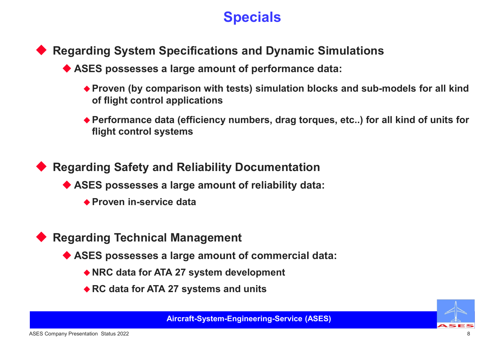# **Specials**

- Regarding System Specifications and Dynamic Simulations
	-
- Specials<br>
→ egarding System Specifications and Dynamic Simulations<br>
◆ ASES possesses a large amount of performance data:<br>
◆ Proven (by comparison with tests) simulation blocks and sub-models for all kind<br>
of flight contro **Proven (by Specifications and Dynamic Simulations<br>
SES possesses a large amount of performance data:**<br>◆ Proven (by comparison with tests) simulation blocks and sub-models for all kind<br>→ Performance data (efficiency numbe **Specials<br>
Specials**<br>
Spossesses a large amount of performance data:<br>
Proven (by comparison with tests) simulation blocks and<br>
of flight control applications<br>
Performance data (efficiency numbers, drag torques, etc...<br>
fli **Specials**<br>
Proven Specifications and Dynamic Simulations<br>
SES possesses a large amount of performance data:<br>
◆ Proven (by comparison with tests) simulation blocks and sub-models for all kind<br>
→ Performance data (efficien **Specials<br>
Specials<br>
Spossesses a large amount of performance data:**<br>
Froven (by comparison with tests) simulation blocks a<br>
of flight control applications<br>
Performance data (efficiency numbers, drag torques, et<br>
flight co egarding System Specifications and Dynamic Simulations<br>
◆ ASES possesses a large amount of performance data:<br>
◆ Proven (by comparison with tests) simulation blocks and sub-models for all kind<br>
of flight control applicatio raing System Specifications and Dynamic Simulation<br>SES possesses a large amount of performance data:<br>◆ Proven (by comparison with tests) simulation blocks and strof flight control applications<br>◆ Performance data (efficien
	- ◆ Performance data (efficiency numbers, drag torques, etc..) for all kind of units for<br>flight control systems<br>egarding Safety and Reliability Documentation<br>◆ ASES possesses a large amount of reliability data:<br>◆ Proven in-◆ Periorinance data (eniciency numbers, drag torques, etc..) for all kind<br>flight control systems<br>rding Safety and Reliability Documentation<br>SES possesses a large amount of reliability data:<br><br><br> $\star$  Proven in-service data<br>S

 Regarding Safety and Reliability Documentation The Safety and Reliability Documentation<br>
SES possesses a large amount of reliability data:<br>
→ Proven in-service data<br>
The Proven in-service data<br>
The Proven in-service data<br>
SES possesses a large amount of commercial dat

Regarding Technical Management

- -
	-